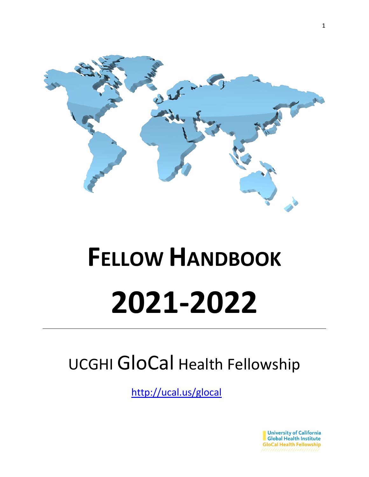

# **FELLOW HANDBOOK 2021-2022**

# UCGHI GloCal Health Fellowship

<http://ucal.us/glocal>

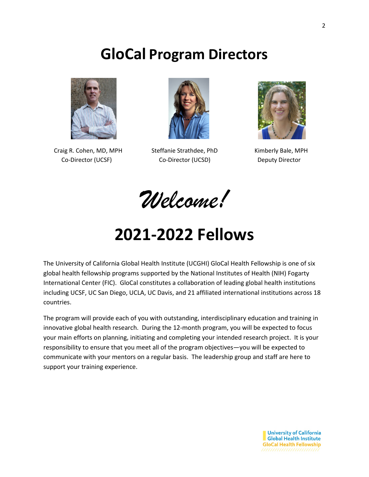# **GloCal Program Directors**



Craig R. Cohen, MD, MPH Steffanie Strathdee, PhD Kimberly Bale, MPH



Co-Director (UCSF) Co-Director (UCSD) Deputy Director



*Welcome!* 

# **2021-2022 Fellows**

The University of California Global Health Institute (UCGHI) GloCal Health Fellowship is one of six global health fellowship programs supported by the National Institutes of Health (NIH) Fogarty International Center (FIC). GloCal constitutes a collaboration of leading global health institutions including UCSF, UC San Diego, UCLA, UC Davis, and 21 affiliated international institutions across 18 countries.

The program will provide each of you with outstanding, interdisciplinary education and training in innovative global health research. During the 12-month program, you will be expected to focus your main efforts on planning, initiating and completing your intended research project. It is your responsibility to ensure that you meet all of the program objectives—you will be expected to communicate with your mentors on a regular basis. The leadership group and staff are here to support your training experience.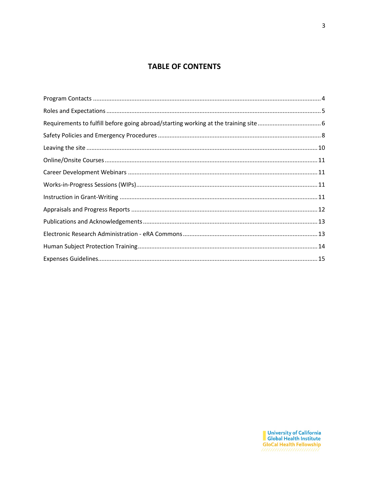# **TABLE OF CONTENTS**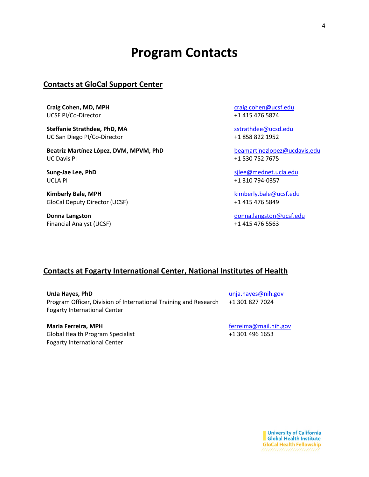# **Program Contacts**

#### <span id="page-3-0"></span>**Contacts at GloCal Support Center**

**Craig Cohen, MD, MPH** UCSF PI/Co-Director

**Steffanie Strathdee, PhD, MA** UC San Diego PI/Co-Director

**Beatriz Martínez López, DVM, MPVM, PhD** UC Davis PI

**Sung-Jae Lee, PhD** UCLA PI

**Kimberly Bale, MPH** GloCal Deputy Director (UCSF)

**Donna Langston** Financial Analyst (UCSF) [craig.cohen@ucsf.edu](mailto:craig.cohen@ucsf.edu) +1 415 476 5874

[sstrathdee@ucsd.edu](mailto:sstrathdee@ucsd.edu) +1 858 822 1952

[beamartinezlopez@ucdavis.edu](mailto:beamartinezlopez@ucdavis.edu) +1 530 752 7675

[sjlee@mednet.ucla.edu](mailto:sjlee@mednet.ucla.edu) +1 310 794-0357

[kimberly.bale@ucsf.edu](mailto:kimberly.bale@ucsf.edu) +1 415 476 5849

[donna.langston@ucsf.edu](mailto:donna.langston@ucsf.edu) +1 415 476 5563

## **Contacts at Fogarty International Center, National Institutes of Health**

**UnJa Hayes, PhD** Program Officer, Division of International Training and Research Fogarty International Center

**Maria Ferreira, MPH** Global Health Program Specialist Fogarty International Center

[unja.hayes@nih.gov](mailto:unja.hayes@nih.gov) +1 301 827 7024

[ferreima@mail.nih.gov](mailto:ferreima@mail.nih.gov) +1 301 496 1653

4

**University of California Global Health Institute GloCal Health Fellowship**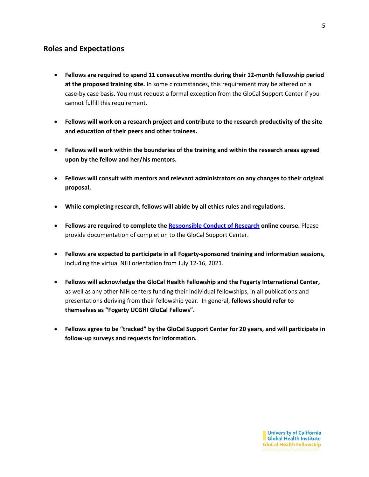# <span id="page-4-0"></span>**Roles and Expectations**

- **Fellows are required to spend 11 consecutive months during their 12-month fellowship period at the proposed training site.** In some circumstances, this requirement may be altered on a case-by case basis. You must request a formal exception from the GloCal Support Center if you cannot fulfill this requirement.
- **Fellows will work on a research project and contribute to the research productivity of the site and education of their peers and other trainees.**
- **Fellows will work within the boundaries of the training and within the research areas agreed upon by the fellow and her/his mentors.**
- **Fellows will consult with mentors and relevant administrators on any changes to their original proposal.**
- **While completing research, fellows will abide by all ethics rules and regulations.**
- **Fellows are required to complete th[e Responsible Conduct of Research](http://accelerate.ucsf.edu/training/responsible-conduct-research) online course.** Please provide documentation of completion to the GloCal Support Center.
- **Fellows are expected to participate in all Fogarty-sponsored training and information sessions,**  including the virtual NIH orientation from July 12-16, 2021.
- **Fellows will acknowledge the GloCal Health Fellowship and the Fogarty International Center,**  as well as any other NIH centers funding their individual fellowships, in all publications and presentations deriving from their fellowship year. In general, **fellows should refer to themselves as "Fogarty UCGHI GloCal Fellows".**
- **Fellows agree to be "tracked" by the GloCal Support Center for 20 years, and will participate in follow-up surveys and requests for information.**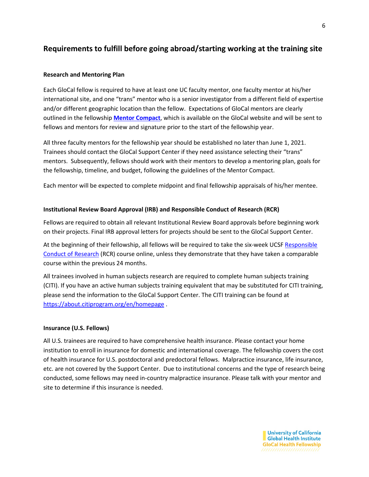# <span id="page-5-0"></span>**Requirements to fulfill before going abroad/starting working at the training site**

#### **Research and Mentoring Plan**

Each GloCal fellow is required to have at least one UC faculty mentor, one faculty mentor at his/her international site, and one "trans" mentor who is a senior investigator from a different field of expertise and/or different geographic location than the fellow. Expectations of GloCal mentors are clearly outlined in the fellowship **[Mentor Compact](http://ucghi.universityofcalifornia.edu/sites/default/files/glocal-mentor-compact.pdf)**, which is available on the GloCal website and will be sent to fellows and mentors for review and signature prior to the start of the fellowship year.

All three faculty mentors for the fellowship year should be established no later than June 1, 2021. Trainees should contact the GloCal Support Center if they need assistance selecting their "trans" mentors. Subsequently, fellows should work with their mentors to develop a mentoring plan, goals for the fellowship, timeline, and budget, following the guidelines of the Mentor Compact.

Each mentor will be expected to complete midpoint and final fellowship appraisals of his/her mentee.

#### **Institutional Review Board Approval (IRB) and Responsible Conduct of Research (RCR)**

Fellows are required to obtain all relevant Institutional Review Board approvals before beginning work on their projects. Final IRB approval letters for projects should be sent to the GloCal Support Center.

At the beginning of their fellowship, all fellows will be required to take the six-week UCSF Responsible [Conduct of Research](http://accelerate.ucsf.edu/training/responsible-conduct-research) (RCR) course online, unless they demonstrate that they have taken a comparable course within the previous 24 months.

All trainees involved in human subjects research are required to complete human subjects training (CITI). If you have an active human subjects training equivalent that may be substituted for CITI training, please send the information to the GloCal Support Center. The CITI training can be found at <https://about.citiprogram.org/en/homepage> .

#### **Insurance (U.S. Fellows)**

All U.S. trainees are required to have comprehensive health insurance. Please contact your home institution to enroll in insurance for domestic and international coverage. The fellowship covers the cost of health insurance for U.S. postdoctoral and predoctoral fellows. Malpractice insurance, life insurance, etc. are not covered by the Support Center. Due to institutional concerns and the type of research being conducted, some fellows may need in-country malpractice insurance. Please talk with your mentor and site to determine if this insurance is needed.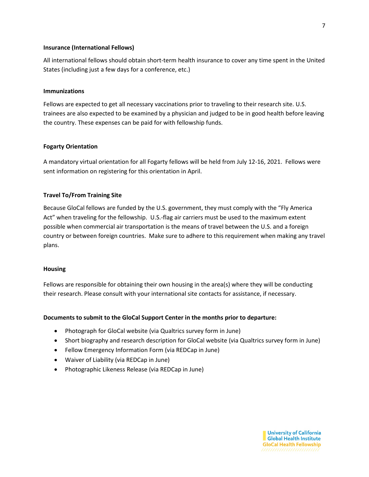#### **Insurance (International Fellows)**

All international fellows should obtain short-term health insurance to cover any time spent in the United States (including just a few days for a conference, etc.)

#### **Immunizations**

Fellows are expected to get all necessary vaccinations prior to traveling to their research site. U.S. trainees are also expected to be examined by a physician and judged to be in good health before leaving the country. These expenses can be paid for with fellowship funds.

#### **Fogarty Orientation**

A mandatory virtual orientation for all Fogarty fellows will be held from July 12-16, 2021. Fellows were sent information on registering for this orientation in April.

#### **Travel To/From Training Site**

Because GloCal fellows are funded by the U.S. government, they must comply with the "Fly America Act" when traveling for the fellowship. U.S.-flag air carriers must be used to the maximum extent possible when commercial air transportation is the means of travel between the U.S. and a foreign country or between foreign countries. Make sure to adhere to this requirement when making any travel plans.

#### **Housing**

Fellows are responsible for obtaining their own housing in the area(s) where they will be conducting their research. Please consult with your international site contacts for assistance, if necessary.

#### **Documents to submit to the GloCal Support Center in the months prior to departure:**

- Photograph for GloCal website (via Qualtrics survey form in June)
- Short biography and research description for GloCal website (via Qualtrics survey form in June)
- Fellow Emergency Information Form (via REDCap in June)
- Waiver of Liability (via REDCap in June)
- Photographic Likeness Release (via REDCap in June)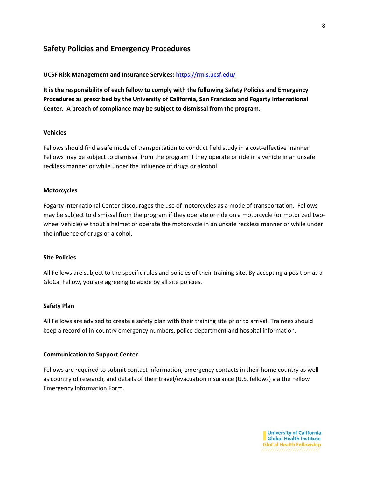# <span id="page-7-0"></span>**Safety Policies and Emergency Procedures**

#### **UCSF Risk Management and Insurance Services:** <https://rmis.ucsf.edu/>

**It is the responsibility of each fellow to comply with the following Safety Policies and Emergency Procedures as prescribed by the University of California, San Francisco and Fogarty International Center. A breach of compliance may be subject to dismissal from the program.** 

#### **Vehicles**

Fellows should find a safe mode of transportation to conduct field study in a cost-effective manner. Fellows may be subject to dismissal from the program if they operate or ride in a vehicle in an unsafe reckless manner or while under the influence of drugs or alcohol.

#### **Motorcycles**

Fogarty International Center discourages the use of motorcycles as a mode of transportation. Fellows may be subject to dismissal from the program if they operate or ride on a motorcycle (or motorized twowheel vehicle) without a helmet or operate the motorcycle in an unsafe reckless manner or while under the influence of drugs or alcohol.

#### **Site Policies**

All Fellows are subject to the specific rules and policies of their training site. By accepting a position as a GloCal Fellow, you are agreeing to abide by all site policies.

#### **Safety Plan**

All Fellows are advised to create a safety plan with their training site prior to arrival. Trainees should keep a record of in-country emergency numbers, police department and hospital information.

#### **Communication to Support Center**

Fellows are required to submit contact information, emergency contacts in their home country as well as country of research, and details of their travel/evacuation insurance (U.S. fellows) via the Fellow Emergency Information Form.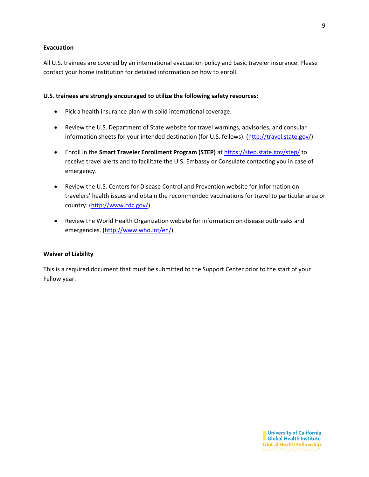#### **Evacuation**

All U.S. trainees are covered by an international evacuation policy and basic traveler insurance. Please contact your home institution for detailed information on how to enroll.

#### **U.S. trainees are strongly encouraged to utilize the following safety resources:**

- Pick a health insurance plan with solid international coverage.
- Review the U.S. Department of State website for travel warnings, advisories, and consular information sheets for your intended destination (for U.S. fellows). [\(http://travel.state.gov/\)](http://travel.state.gov/)
- Enroll in the **Smart Traveler Enrollment Program (STEP)** at<https://step.state.gov/step/> to receive travel alerts and to facilitate the U.S. Embassy or Consulate contacting you in case of emergency.
- Review the U.S. Centers for Disease Control and Prevention website for information on travelers' health issues and obtain the recommended vaccinations for travel to particular area or country. [\(http://www.cdc.gov/\)](http://www.cdc.gov/)
- Review the World Health Organization website for information on disease outbreaks and emergencies. [\(http://www.who.int/en/\)](http://www.who.int/en/)

#### **Waiver of Liability**

This is a required document that must be submitted to the Support Center prior to the start of your Fellow year.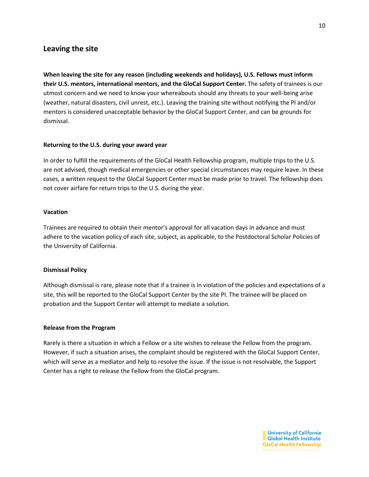# <span id="page-9-0"></span>**Leaving the site**

**When leaving the site for any reason (including weekends and holidays), U.S. Fellows must inform their U.S. mentors, international mentors, and the GloCal Support Center.** The safety of trainees is our utmost concern and we need to know your whereabouts should any threats to your well-being arise (weather, natural disasters, civil unrest, etc.). Leaving the training site without notifying the PI and/or mentors is considered unacceptable behavior by the GloCal Support Center, and can be grounds for dismissal.

#### **Returning to the U.S. during your award year**

In order to fulfill the requirements of the GloCal Health Fellowship program, multiple trips to the U.S. are not advised, though medical emergencies or other special circumstances may require leave. In these cases, a written request to the GloCal Support Center must be made prior to travel. The fellowship does not cover airfare for return trips to the U.S. during the year.

#### **Vacation**

Trainees are required to obtain their mentor's approval for all vacation days in advance and must adhere to the vacation policy of each site, subject, as applicable, to the Postdoctoral Scholar Policies of the University of California.

#### **Dismissal Policy**

Although dismissal is rare, please note that if a trainee is in violation of the policies and expectations of a site, this will be reported to the GloCal Support Center by the site PI. The trainee will be placed on probation and the Support Center will attempt to mediate a solution.

#### **Release from the Program**

Rarely is there a situation in which a Fellow or a site wishes to release the Fellow from the program. However, if such a situation arises, the complaint should be registered with the GloCal Support Center, which will serve as a mediator and help to resolve the issue. If the issue is not resolvable, the Support Center has a right to release the Fellow from the GloCal program.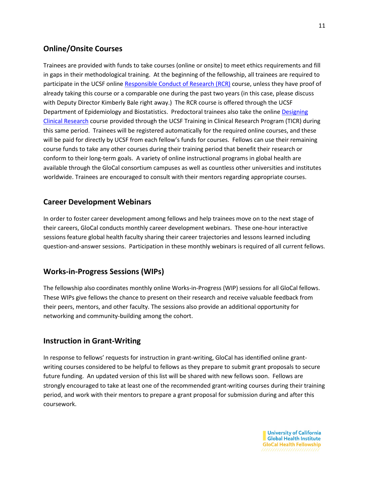# <span id="page-10-0"></span>**Online/Onsite Courses**

Trainees are provided with funds to take courses (online or onsite) to meet ethics requirements and fill in gaps in their methodological training. At the beginning of the fellowship, all trainees are required to participate in the UCSF online [Responsible Conduct of Research](http://accelerate.ucsf.edu/training/responsible-conduct-research) (RCR) course, unless they have proof of already taking this course or a comparable one during the past two years (in this case, please discuss with Deputy Director Kimberly Bale right away.) The RCR course is offered through the UCSF Department of Epidemiology and Biostatistics. Predoctoral trainees also take the online [Designing](https://ticr.ucsf.edu/courses/clin_research.html)  [Clinical Research](https://ticr.ucsf.edu/courses/clin_research.html) course provided through the UCSF Training in Clinical Research Program (TICR) during this same period. Trainees will be registered automatically for the required online courses, and these will be paid for directly by UCSF from each fellow's funds for courses. Fellows can use their remaining course funds to take any other courses during their training period that benefit their research or conform to their long-term goals. A variety of online instructional programs in global health are available through the GloCal consortium campuses as well as countless other universities and institutes worldwide. Trainees are encouraged to consult with their mentors regarding appropriate courses.

# <span id="page-10-1"></span>**Career Development Webinars**

In order to foster career development among fellows and help trainees move on to the next stage of their careers, GloCal conducts monthly career development webinars. These one-hour interactive sessions feature global health faculty sharing their career trajectories and lessons learned including question-and-answer sessions. Participation in these monthly webinars is required of all current fellows.

# <span id="page-10-2"></span>**Works-in-Progress Sessions (WIPs)**

The fellowship also coordinates monthly online Works-in-Progress (WIP) sessions for all GloCal fellows. These WIPs give fellows the chance to present on their research and receive valuable feedback from their peers, mentors, and other faculty. The sessions also provide an additional opportunity for networking and community-building among the cohort.

# <span id="page-10-3"></span>**Instruction in Grant-Writing**

In response to fellows' requests for instruction in grant-writing, GloCal has identified online grantwriting courses considered to be helpful to fellows as they prepare to submit grant proposals to secure future funding. An updated version of this list will be shared with new fellows soon. Fellows are strongly encouraged to take at least one of the recommended grant-writing courses during their training period, and work with their mentors to prepare a grant proposal for submission during and after this coursework.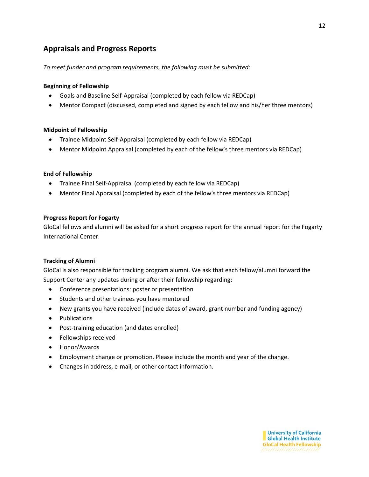# <span id="page-11-0"></span>**Appraisals and Progress Reports**

*To meet funder and program requirements, the following must be submitted:*

#### **Beginning of Fellowship**

- Goals and Baseline Self-Appraisal (completed by each fellow via REDCap)
- Mentor Compact (discussed, completed and signed by each fellow and his/her three mentors)

#### **Midpoint of Fellowship**

- Trainee Midpoint Self-Appraisal (completed by each fellow via REDCap)
- Mentor Midpoint Appraisal (completed by each of the fellow's three mentors via REDCap)

#### **End of Fellowship**

- Trainee Final Self-Appraisal (completed by each fellow via REDCap)
- Mentor Final Appraisal (completed by each of the fellow's three mentors via REDCap)

#### **Progress Report for Fogarty**

GloCal fellows and alumni will be asked for a short progress report for the annual report for the Fogarty International Center.

#### **Tracking of Alumni**

GloCal is also responsible for tracking program alumni. We ask that each fellow/alumni forward the Support Center any updates during or after their fellowship regarding:

- Conference presentations: poster or presentation
- Students and other trainees you have mentored
- New grants you have received (include dates of award, grant number and funding agency)
- Publications
- Post-training education (and dates enrolled)
- Fellowships received
- Honor/Awards
- Employment change or promotion. Please include the month and year of the change.
- Changes in address, e-mail, or other contact information.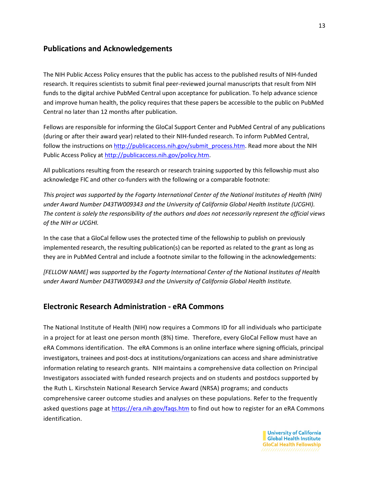# <span id="page-12-0"></span>**Publications and Acknowledgements**

The NIH Public Access Policy ensures that the public has access to the published results of NIH-funded research. It requires scientists to submit final peer-reviewed journal manuscripts that result from NIH funds to the digital archive PubMed Central upon acceptance for publication. To help advance science and improve human health, the policy requires that these papers be accessible to the public on PubMed Central no later than 12 months after publication.

Fellows are responsible for informing the GloCal Support Center and PubMed Central of any publications (during or after their award year) related to their NIH-funded research. To inform PubMed Central, follow the instructions on [http://publicaccess.nih.gov/submit\\_process.htm.](http://publicaccess.nih.gov/submit_process.htm) Read more about the NIH Public Access Policy at [http://publicaccess.nih.gov/policy.htm.](http://publicaccess.nih.gov/policy.htm)

All publications resulting from the research or research training supported by this fellowship must also acknowledge FIC and other co-funders with the following or a comparable footnote:

*This project was supported by the Fogarty International Center of the National Institutes of Health (NIH) under Award Number D43TW009343 and the University of California Global Health Institute (UCGHI). The content is solely the responsibility of the authors and does not necessarily represent the official views of the NIH or UCGHI.*

In the case that a GloCal fellow uses the protected time of the fellowship to publish on previously implemented research, the resulting publication(s) can be reported as related to the grant as long as they are in PubMed Central and include a footnote similar to the following in the acknowledgements:

*[FELLOW NAME] was supported by the Fogarty International Center of the National Institutes of Health under Award Number D43TW009343 and the University of California Global Health Institute.* 

# <span id="page-12-1"></span>**Electronic Research Administration - eRA Commons**

The National Institute of Health (NIH) now requires a Commons ID for all individuals who participate in a project for at least one person month (8%) time. Therefore, every GloCal Fellow must have an eRA Commons identification. The eRA Commons is an online interface where signing officials, principal investigators, trainees and post-docs at institutions/organizations can access and share administrative information relating to research grants. NIH maintains a comprehensive data collection on Principal Investigators associated with funded research projects and on students and postdocs supported by the Ruth L. Kirschstein National Research Service Award (NRSA) programs; and conducts comprehensive career outcome studies and analyses on these populations. Refer to the frequently asked questions page at<https://era.nih.gov/faqs.htm> to find out how to register for an eRA Commons identification.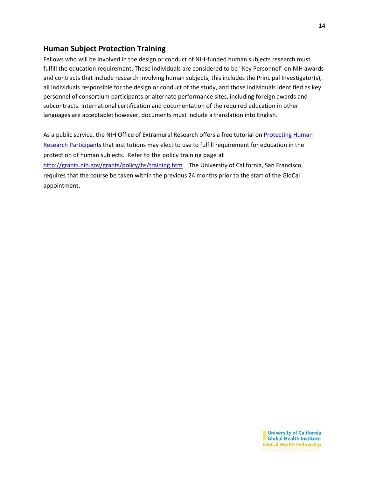# <span id="page-13-0"></span>**Human Subject Protection Training**

Fellows who will be involved in the design or conduct of NIH-funded human subjects research must fulfill the education requirement. These individuals are considered to be "Key Personnel" on NIH awards and contracts that include research involving human subjects, this includes the Principal Investigator(s), all individuals responsible for the design or conduct of the study, and those individuals identified as key personnel of consortium participants or alternate performance sites, including foreign awards and subcontracts. International certification and documentation of the required education in other languages are acceptable; however, documents must include a translation into English.

As a public service, the NIH Office of Extramural Research offers a free tutorial on Protecting Human [Research Participants](http://phrp.nihtraining.com/users/login.php) that institutions may elect to use to fulfill requirement for education in the protection of human subjects. Refer to the policy training page at <http://grants.nih.gov/grants/policy/hs/training.htm> . The University of California, San Francisco, requires that the course be taken within the previous 24 months prior to the start of the GloCal appointment.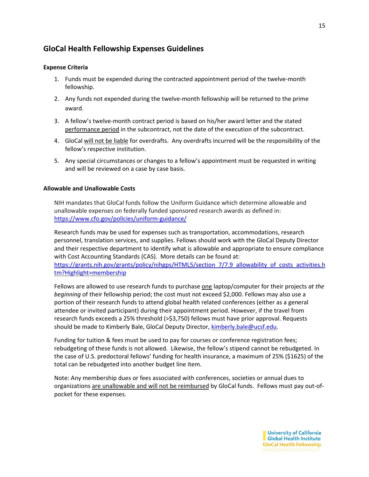# <span id="page-14-0"></span>**GloCal Health Fellowship Expenses Guidelines**

#### **Expense Criteria**

- 1. Funds must be expended during the contracted appointment period of the twelve-month fellowship.
- 2. Any funds not expended during the twelve-month fellowship will be returned to the prime award.
- 3. A fellow's twelve-month contract period is based on his/her award letter and the stated performance period in the subcontract, not the date of the execution of the subcontract.
- 4. GloCal will not be liable for overdrafts. Any overdrafts incurred will be the responsibility of the fellow's respective institution.
- 5. Any special circumstances or changes to a fellow's appointment must be requested in writing and will be reviewed on a case by case basis.

#### **Allowable and Unallowable Costs**

NIH mandates that GloCal funds follow the Uniform Guidance which determine allowable and unallowable expenses on federally funded sponsored research awards as defined in: <https://www.cfo.gov/policies/uniform-guidance/>

Research funds may be used for expenses such as transportation, accommodations, research personnel, translation services, and supplies. Fellows should work with the GloCal Deputy Director and their respective department to identify what is allowable and appropriate to ensure compliance with Cost Accounting Standards (CAS). More details can be found at: [https://grants.nih.gov/grants/policy/nihgps/HTML5/section\\_7/7.9\\_allowability\\_of\\_costs\\_activities.h](https://grants.nih.gov/grants/policy/nihgps/HTML5/section_7/7.9_allowability_of_costs_activities.htm?Highlight=membership) [tm?Highlight=membership](https://grants.nih.gov/grants/policy/nihgps/HTML5/section_7/7.9_allowability_of_costs_activities.htm?Highlight=membership)

Fellows are allowed to use research funds to purchase one laptop/computer for their projects *at the beginning* of their fellowship period; the cost must not exceed \$2,000. Fellows may also use a portion of their research funds to attend global health related conferences (either as a general attendee or invited participant) during their appointment period. However, if the travel from research funds exceeds a 25% threshold (>\$3,750) fellows must have prior approval. Requests should be made to Kimberly Bale, GloCal Deputy Director[, kimberly.bale@ucsf.edu.](mailto:kimberly.bale@ucsf.edu)

Funding for tuition & fees must be used to pay for courses or conference registration fees; rebudgeting of these funds is not allowed. Likewise, the fellow's stipend cannot be rebudgeted. In the case of U.S. predoctoral fellows' funding for health insurance, a maximum of 25% (\$1625) of the total can be rebudgeted into another budget line item.

Note: Any membership dues or fees associated with conferences, societies or annual dues to organizations are unallowable and will not be reimbursed by GloCal funds. Fellows must pay out-ofpocket for these expenses.